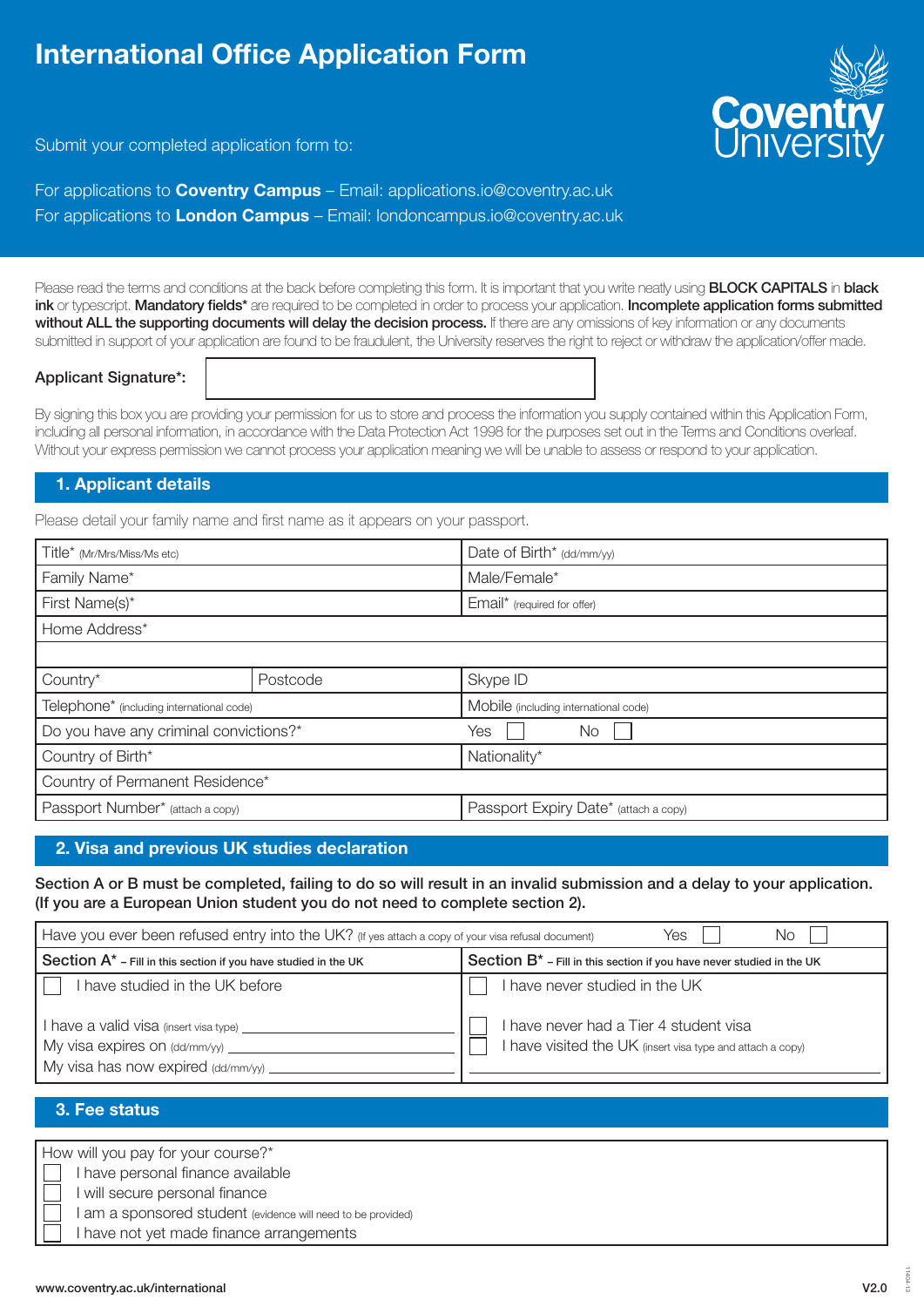# International Office Application Form



Submit your completed application form to:

For applications to **Coventry Campus** – Email: applications.io@coventry.ac.uk For applications to **London Campus** – Email: londoncampus.io@coventry.ac.uk

Please read the terms and conditions at the back before completing this form. It is important that you write neatly using **BLOCK CAPITALS** in **black** ink or typescript. Mandatory fields\* are required to be completed in order to process your application. Incomplete application forms submitted without ALL the supporting documents will delay the decision process. If there are any omissions of key information or any documents submitted in support of your application are found to be fraudulent, the University reserves the right to reject or withdraw the application/offer made.

#### Applicant Signature\*:

By signing this box you are providing your permission for us to store and process the information you supply contained within this Application Form, including all personal information, in accordance with the Data Protection Act 1998 for the purposes set out in the Terms and Conditions overleaf. Without your express permission we cannot process your application meaning we will be unable to assess or respond to your application.

#### 1. Applicant details

Please detail your family name and first name as it appears on your passport.

| Title* (Mr/Mrs/Miss/Ms etc)                           |          | Date of Birth* (dd/mm/yy)             |  |
|-------------------------------------------------------|----------|---------------------------------------|--|
| Family Name*                                          |          | Male/Female*                          |  |
| First Name(s)*                                        |          | Email* (required for offer)           |  |
| Home Address*                                         |          |                                       |  |
|                                                       |          |                                       |  |
| Country*                                              | Postcode | Skype ID                              |  |
| Telephone <sup>*</sup> (including international code) |          | Mobile (including international code) |  |
| Do you have any criminal convictions?*                |          | Yes<br>No                             |  |
| Country of Birth*                                     |          | Nationality*                          |  |
| Country of Permanent Residence*                       |          |                                       |  |
| Passport Number* (attach a copy)                      |          | Passport Expiry Date* (attach a copy) |  |

# 2. Visa and previous UK studies declaration

Section A or B must be completed, failing to do so will result in an invalid submission and a delay to your application. (If you are a European Union student you do not need to complete section 2).

| Have you ever been refused entry into the UK? (If yes attach a copy of your visa refusal document)<br>Yes<br>No                                            |                                                                                                                                        |  |  |  |
|------------------------------------------------------------------------------------------------------------------------------------------------------------|----------------------------------------------------------------------------------------------------------------------------------------|--|--|--|
| Section A* - Fill in this section if you have studied in the UK                                                                                            | Section B <sup>*</sup> - Fill in this section if you have never studied in the UK                                                      |  |  |  |
| I have studied in the UK before<br>I have a valid visa (insert visa type).<br>My visa expires on $\frac{dd}{mm}{yy}$<br>My visa has now expired (dd/mm/yy) | I have never studied in the UK<br>I have never had a Tier 4 student visa<br>I have visited the UK (insert visa type and attach a copy) |  |  |  |

### 3. Fee status

How will you pay for your course?\*

I have personal finance available

I will secure personal finance

I am a sponsored student (evidence will need to be provided)

I have not yet made finance arrangements

11404-13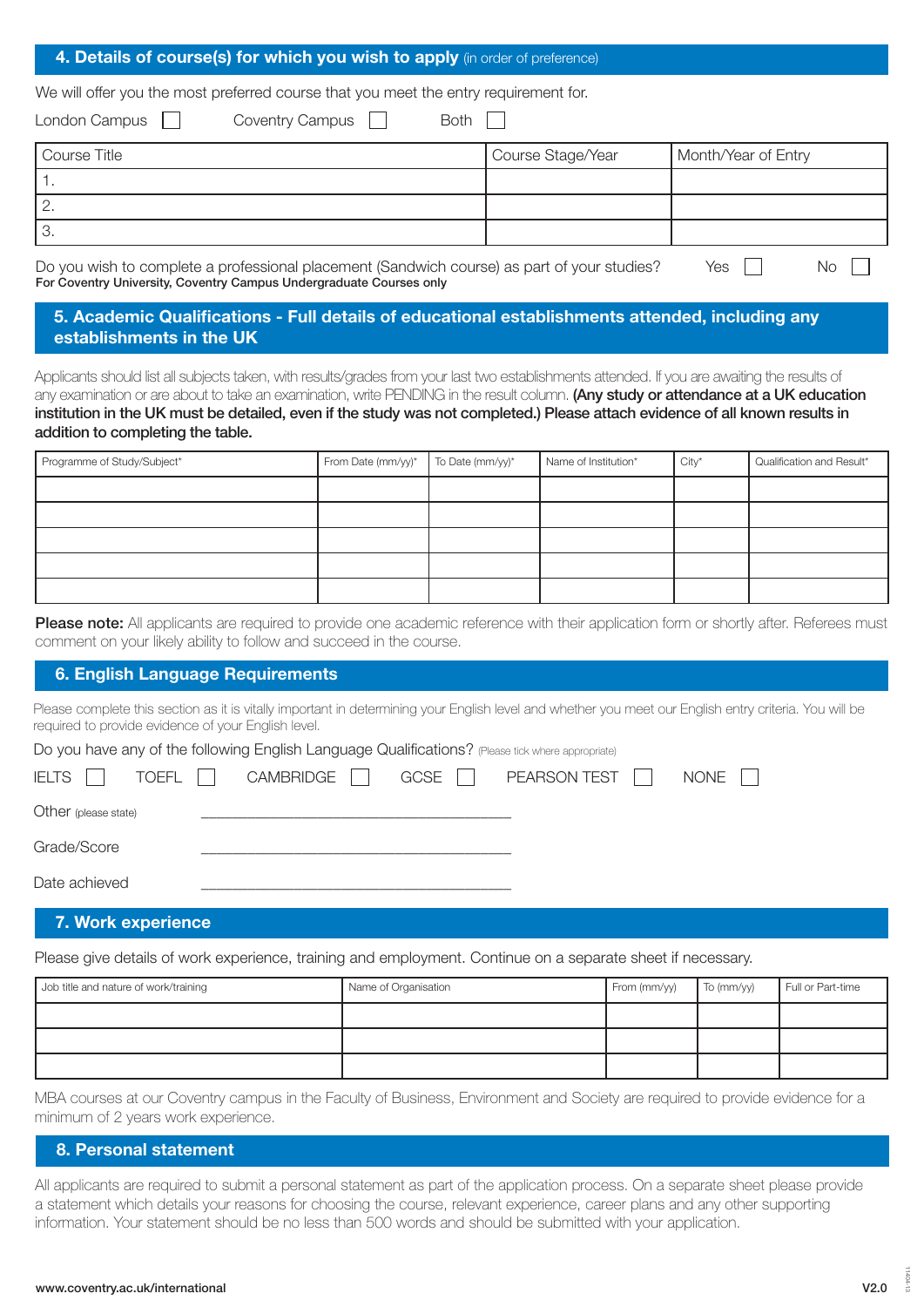#### 4. Details of course(s) for which you wish to apply (in order of preference)

We will offer you the most preferred course that you meet the entry requirement for.

| Both<br><b>Coventry Campus</b><br>London Campus |                   |                     |
|-------------------------------------------------|-------------------|---------------------|
| Course Title                                    | Course Stage/Year | Month/Year of Entry |
|                                                 |                   |                     |
| 12.                                             |                   |                     |
| 3.                                              |                   |                     |
| $\mathbf{r}$<br>$\overline{\phantom{0}}$        |                   | $\sim$              |

Do you wish to complete a professional placement (Sandwich course) as part of your studies? For Coventry University, Coventry Campus Undergraduate Courses only Yes II No II

#### 5. Academic Qualifications - Full details of educational establishments attended, including any establishments in the UK

Applicants should list all subjects taken, with results/grades from your last two establishments attended. If you are awaiting the results of any examination or are about to take an examination, write PENDING in the result column. (Any study or attendance at a UK education institution in the UK must be detailed, even if the study was not completed.) Please attach evidence of all known results in addition to completing the table.

| Programme of Study/Subject* | From Date (mm/yy)* | To Date (mm/yy)* | Name of Institution* | $City*$ | Qualification and Result* |
|-----------------------------|--------------------|------------------|----------------------|---------|---------------------------|
|                             |                    |                  |                      |         |                           |
|                             |                    |                  |                      |         |                           |
|                             |                    |                  |                      |         |                           |
|                             |                    |                  |                      |         |                           |
|                             |                    |                  |                      |         |                           |

Please note: All applicants are required to provide one academic reference with their application form or shortly after. Referees must comment on your likely ability to follow and succeed in the course.

#### 6. English Language Requirements

Please complete this section as it is vitally important in determining your English level and whether you meet our English entry criteria. You will be required to provide evidence of your English level.

Do you have any of the following English Language Qualifications? (Please tick where appropriate)

| <b>IELTS</b>         | TOEFL | CAMBRIDGE | GCSE | PEARSON TEST | NONE |
|----------------------|-------|-----------|------|--------------|------|
| Other (please state) |       |           |      |              |      |
| Grade/Score          |       |           |      |              |      |
| Date achieved        |       |           |      |              |      |

#### 7. Work experience

Please give details of work experience, training and employment. Continue on a separate sheet if necessary.

| Job title and nature of work/training | Name of Organisation | From (mm/yy) | To (mm/yy) | Full or Part-time |
|---------------------------------------|----------------------|--------------|------------|-------------------|
|                                       |                      |              |            |                   |
|                                       |                      |              |            |                   |
|                                       |                      |              |            |                   |

MBA courses at our Coventry campus in the Faculty of Business, Environment and Society are required to provide evidence for a minimum of 2 years work experience.

#### 8. Personal statement

All applicants are required to submit a personal statement as part of the application process. On a separate sheet please provide a statement which details your reasons for choosing the course, relevant experience, career plans and any other supporting information. Your statement should be no less than 500 words and should be submitted with your application.

11404-13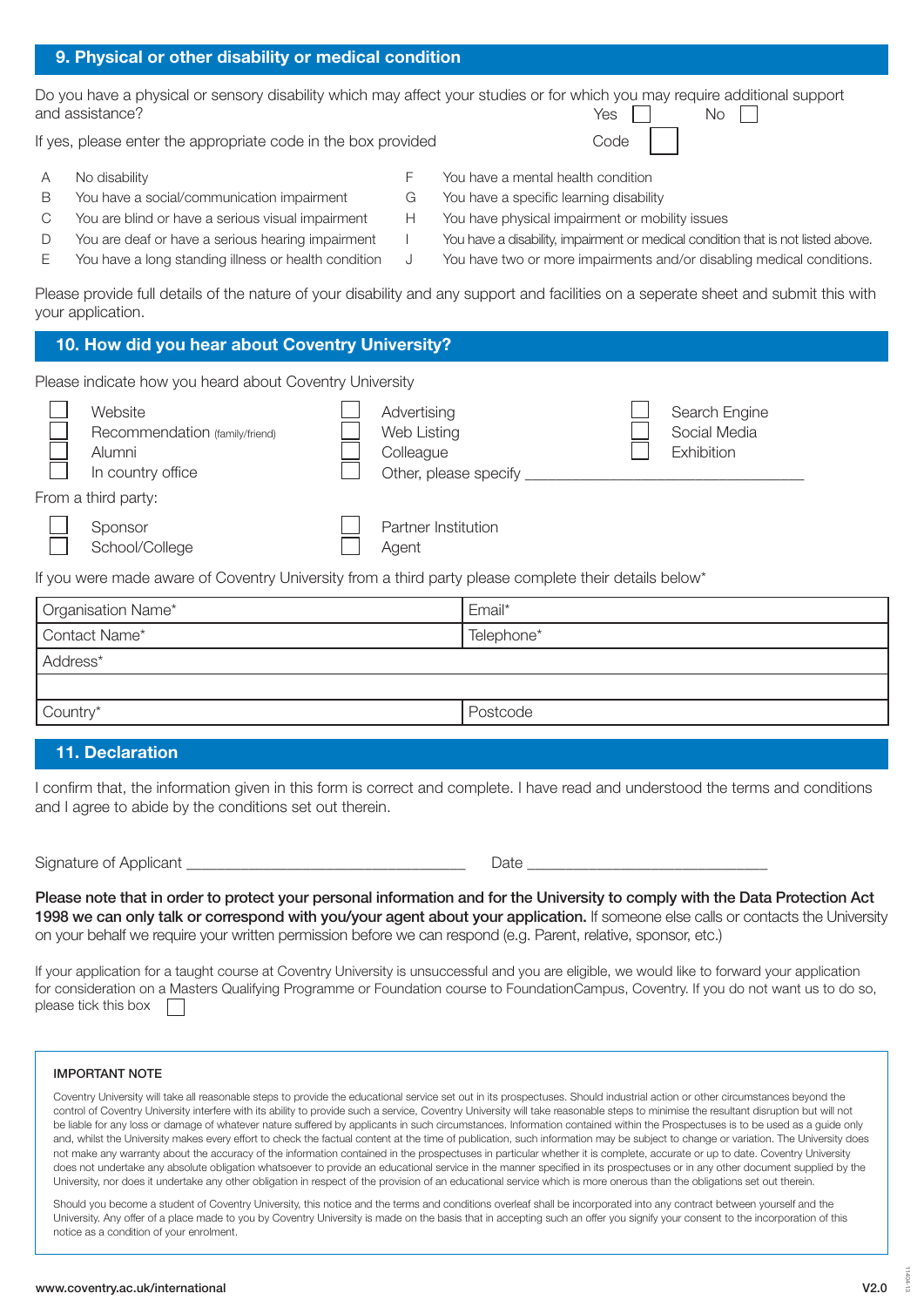## 9. Physical or other disability or medical condition

Do you have a physical or sensory disability which may affect your studies or for which you may require additional support and assistance? Yes  $\Box$  No  $\Box$ 

If yes, please enter the appropriate code in the box provided

- A No disability F You have a mental health condition
- B You have a social/communication impairment G You have a specific learning disability
- C You are blind or have a serious visual impairment H You have physical impairment or mobility issues
- D You are deaf or have a serious hearing impairment I You have a disability, impairment or medical condition that is not listed above.
- E You have a long standing illness or health condition J You have two or more impairments and/or disabling medical conditions.
- 

Please provide full details of the nature of your disability and any support and facilities on a seperate sheet and submit this with your application.

#### 10. How did you hear about Coventry University? Website Recommendation (family/friend) Alumni Advertising Web Listing **Colleague** Search Engine Social Media Exhibition Please indicate how you heard about Coventry University

From a third party:

Sponsor

School/College

In country office

If you were made aware of Coventry University from a third party please complete their details below\*

| Organisation Name* | Email*     |
|--------------------|------------|
| Contact Name*      | Telephone* |
| Address*           |            |
|                    |            |
| Country*           | Postcode   |

### 11. Declaration

I confirm that, the information given in this form is correct and complete. I have read and understood the terms and conditions and I agree to abide by the conditions set out therein.

Signature of Applicant the state of the state of the state of the state of the state  $\Box$ 

Please note that in order to protect your personal information and for the University to comply with the Data Protection Act 1998 we can only talk or correspond with you/your agent about your application. If someone else calls or contacts the University on your behalf we require your written permission before we can respond (e.g. Parent, relative, sponsor, etc.)

If your application for a taught course at Coventry University is unsuccessful and you are eligible, we would like to forward your application for consideration on a Masters Qualifying Programme or Foundation course to FoundationCampus, Coventry. If you do not want us to do so, please tick this box  $\sqrt{ }$ 

#### IMPORTANT NOTE

Coventry University will take all reasonable steps to provide the educational service set out in its prospectuses. Should industrial action or other circumstances beyond the control of Coventry University interfere with its ability to provide such a service, Coventry University will take reasonable steps to minimise the resultant disruption but will not be liable for any loss or damage of whatever nature suffered by applicants in such circumstances. Information contained within the Prospectuses is to be used as a quide only and, whilst the University makes every effort to check the factual content at the time of publication, such information may be subject to change or variation. The University does not make any warranty about the accuracy of the information contained in the prospectuses in particular whether it is complete, accurate or up to date. Coventry University does not undertake any absolute obligation whatsoever to provide an educational service in the manner specified in its prospectuses or in any other document supplied by the University, nor does it undertake any other obligation in respect of the provision of an educational service which is more onerous than the obligations set out therein.

Should you become a student of Coventry University, this notice and the terms and conditions overleaf shall be incorporated into any contract between yourself and the University. Any offer of a place made to you by Coventry University is made on the basis that in accepting such an offer you signify your consent to the incorporation of this notice as a condition of your enrolment.

11404-13

# Code

Other, please specify

Partner Institution

Agent